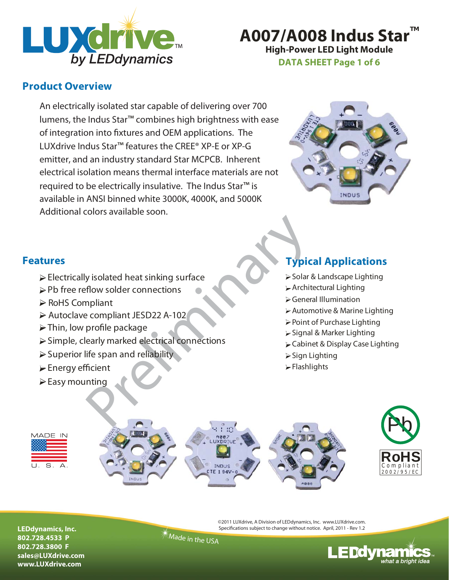

**High-Power LED Light Module A007/A008 Indus Star** 

**DATA SHEET Page 1 of 6**

### **Product Overview**

An electrically isolated star capable of delivering over 700 lumens, the Indus Star<sup>™</sup> combines high brightness with ease of integration into fixtures and OEM applications. The LUXdrive Indus Star ™ features the CREE® XP-E or XP-G emitter, and an industry standard Star MCPCB. Inherent electrical isolation means thermal interface materials are not required to be electrically insulative. The Indus Star<sup>™</sup> is available in ANSI binned white 3000K, 4000K, and 5000K Additional colors available soon.



- $\triangleright$  Electrically isolated heat sinking surface
- ▶ Pb free reflow solder connections
- $\triangleright$  RoHS Compliant
- Autoclave compliant JESD22 A-102
- Thin, low profile package
- $\triangleright$  Simple, clearly marked electrical connections
- $\triangleright$  Superior life span and reliability
- Energy efficient
- $\triangleright$  Easy mounting

## **Features Typical Applications**

- Solar & Landscape Lighting
- Architectural Lighting
- General Illumination
- Automotive & Marine Lighting
- Point of Purchase Lighting
- Signal & Marker Lighting
- **Cabinet & Display Case Lighting**
- $\triangleright$  Sign Lighting
- Flashlights





**LEDdynamics, Inc. 802.728.4533 P 802.728.3800 F sales@LUXdrive.com www.LUXdrive.com**

©2011 LUXdrive, A Division of LEDdynamics, Inc. www.LUXdrive.com. Specifications subject to change without notice. April, 2011 - Rev 1.2

Made in the USA

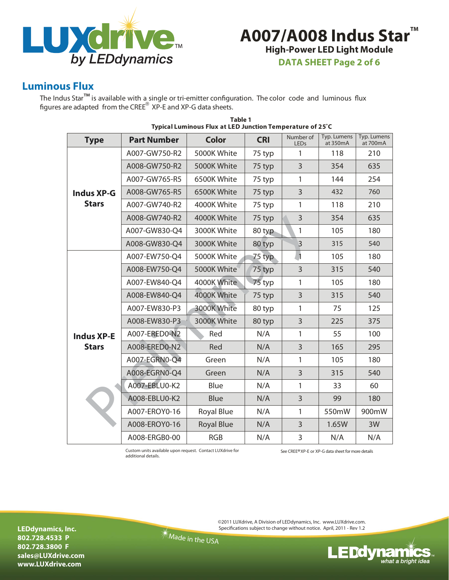

# **High-Power LED Light Module A007/A008 Indus Star™**

**DATA SHEET Page 2 of 6**

### **Luminous Flux**

The Indus Star<sup>™</sup> is available with a single or tri-emitter configuration. The color code and luminous flux figures are adapted from the CRE<sup>®</sup> XP-E and XP-G data sheets.

| <b>Type</b>       | <b>Part Number</b> | <b>Color</b>      | <b>CRI</b> | Number of<br><b>LEDs</b> | Typ. Lumens<br>at 350mA | Typ. Lumens<br>at 700mA |
|-------------------|--------------------|-------------------|------------|--------------------------|-------------------------|-------------------------|
|                   | A007-GW750-R2      | 5000K White       | 75 typ     | 1                        | 118                     | 210                     |
|                   | A008-GW750-R2      | 5000K White       | 75 typ     | 3                        | 354                     | 635                     |
|                   | A007-GW765-R5      | 6500K White       | 75 typ     | 1                        | 144                     | 254                     |
| <b>Indus XP-G</b> | A008-GW765-R5      | 6500K White       | 75 typ     | $\overline{3}$           | 432                     | 760                     |
| <b>Stars</b>      | A007-GW740-R2      | 4000K White       | 75 typ     | 1                        | 118                     | 210                     |
|                   | A008-GW740-R2      | 4000K White       | 75 typ     | 3                        | 354                     | 635                     |
|                   | A007-GW830-Q4      | 3000K White       | 80 typ     | $\mathbf{1}$             | 105                     | 180                     |
|                   | A008-GW830-Q4      | 3000K White       | 80 typ     | $\overline{3}$           | 315                     | 540                     |
|                   | A007-EW750-Q4      | 5000K White       | 75 typ     | $\overline{1}$           | 105                     | 180                     |
|                   | A008-EW750-Q4      | 5000K White       | 75 typ     | $\overline{3}$           | 315                     | 540                     |
|                   | A007-EW840-Q4      | 4000K White       | 75 typ     | 1                        | 105                     | 180                     |
|                   | A008-EW840-Q4      | 4000K White       | 75 typ     | 3                        | 315                     | 540                     |
|                   | A007-EW830-P3      | 3000K White       | 80 typ     | 1                        | 75                      | 125                     |
|                   | A008-EW830-P3      | 3000K White       | 80 typ     | 3                        | 225                     | 375                     |
| <b>Indus XP-E</b> | A007-ERED0-N2      | Red               | N/A        | 1                        | 55                      | 100                     |
| <b>Stars</b>      | A008-ERED0-N2      | Red               | N/A        | 3                        | 165                     | 295                     |
|                   | A007-EGRN0-Q4      | Green             | N/A        | 1                        | 105                     | 180                     |
|                   | A008-EGRN0-Q4      | Green             | N/A        | $\overline{3}$           | 315                     | 540                     |
|                   | A007-EBLU0-K2      | Blue              | N/A        | 1                        | 33                      | 60                      |
|                   | A008-EBLU0-K2      | <b>Blue</b>       | N/A        | 3                        | 99                      | 180                     |
|                   | A007-EROY0-16      | Royal Blue        | N/A        | 1                        | 550mW                   | 900mW                   |
|                   | A008-EROY0-16      | <b>Royal Blue</b> | N/A        | 3                        | 1.65W                   | 3W                      |
|                   | A008-ERGB0-00      | <b>RGB</b>        | N/A        | $\overline{3}$           | N/A                     | N/A                     |

#### **Typical Luminous Flux at LED Junction Temperature of 25˚C Table 1**

Custom units available upon request. Contact LUXdrive for See CREE®XP-E or XP-G data sheet for more details additional details.

**LEDdynamics, Inc. 802.728.4533 P 802.728.3800 F sales@LUXdrive.com www.LUXdrive.com**

©2011 LUXdrive, A Division of LEDdynamics, Inc. www.LUXdrive.com. Specifications subject to change without notice. April, 2011 - Rev 1.2

Made in the USA

LEDdynamics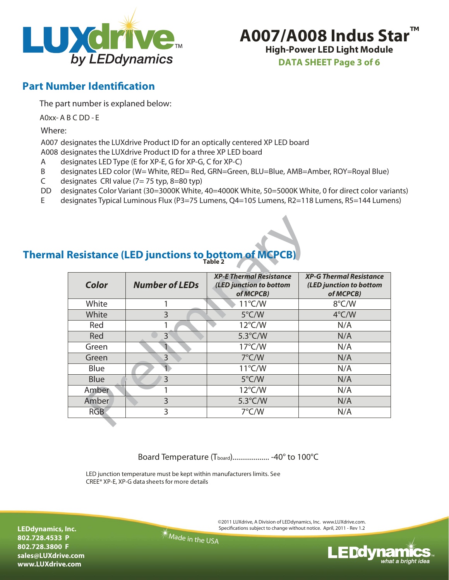



**DATA SHEET Page 3 of 6**

### **Part Number Identification**

The part number is explaned below:

A0xx- A B C DD - E

Where:

A007 designates the LUXdrive Product ID for an optically centered XP LED board A008 designates the LUXdrive Product ID for a three XP LED board

- designates LED Type (E for XP-E, G for XP-G, C for XP-C)
- A<br>B designates LED color (W= White, RED= Red, GRN=Green, BLU=Blue, AMB=Amber, ROY=Royal Blue)
- C designates CRI value (7= 75 typ, 8=80 typ)
- 
- DD designates Color Variant (30=3000K White, 40=4000K White, 50=5000K White, 0 for direct color variants)<br>E designates Typical Luminous Flux (P3=75 Lumens, Q4=105 Lumens, R2=118 Lumens, R5=144 Lumens) designates Typical Luminous Flux (P3=75 Lumens, Q4=105 Lumens, R2=118 Lumens, R5=144 Lumens )

### **Thermal Resistance (LED junctions to bottom of Table 2**

| <b>Resistance (LED junctions to bottom of MCPCB)</b> |                       |                                                                        |                                                                        |  |  |
|------------------------------------------------------|-----------------------|------------------------------------------------------------------------|------------------------------------------------------------------------|--|--|
| Color                                                | <b>Number of LEDs</b> | <b>XP-E Thermal Resistance</b><br>(LED junction to bottom<br>of MCPCB) | <b>XP-G Thermal Resistance</b><br>(LED junction to bottom<br>of MCPCB) |  |  |
| White                                                | 1                     | $11^{\circ}$ C/W                                                       | 8°C/W                                                                  |  |  |
| White                                                | 3                     | $5^{\circ}$ C/W                                                        | $4^{\circ}$ C/W                                                        |  |  |
| Red                                                  | 1                     | $12^{\circ}$ C/W                                                       | N/A                                                                    |  |  |
| Red                                                  | $\mathsf{B}$          | $5.3^{\circ}$ C/W                                                      | N/A                                                                    |  |  |
| Green                                                |                       | $17^{\circ}$ C/W                                                       | N/A                                                                    |  |  |
| Green                                                | 3                     | $7^{\circ}$ C/W                                                        | N/A                                                                    |  |  |
| Blue                                                 |                       | $11^{\circ}$ C/W                                                       | N/A                                                                    |  |  |
| <b>Blue</b>                                          | 3                     | $5^{\circ}$ C/W                                                        | N/A                                                                    |  |  |
| Amber                                                |                       | $12^{\circ}$ C/W                                                       | N/A                                                                    |  |  |
| Amber                                                | 3                     | $5.3^{\circ}$ C/W                                                      | N/A                                                                    |  |  |
| <b>RGB</b>                                           | 3                     | $7^{\circ}$ C/W                                                        | N/A                                                                    |  |  |
|                                                      |                       |                                                                        |                                                                        |  |  |

Board Temperature (T<sub>board</sub>).................... -40° to 100°C

LED junction temperature must be kept within manufacturers limits. See CREE® XP-E, XP-G data sheets for more details

> ©2011 LUXdrive, A Division of LEDdynamics, Inc. www.LUXdrive.com. Specifications subject to change without notice. April, 2011 - Rev 1.2

Made in the USA

**LEDdynamics, Inc. 802.728.4533 P 802.728.3800 F sales@LUXdrive.com www.LUXdrive.com**

**E Ddynamic:** what a bright idea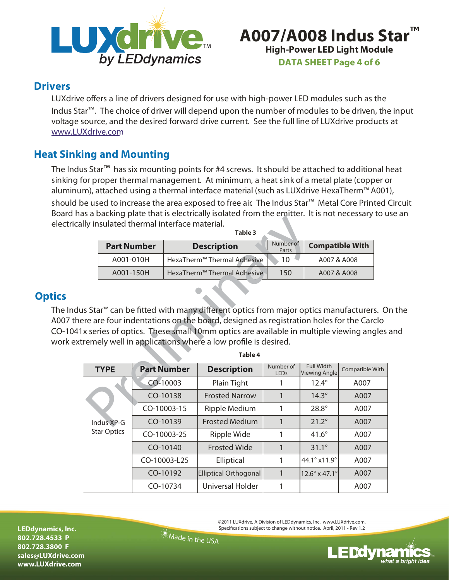

# **High-Power LED Light Module A007/A008 Indus Star DATA SHEET Page 4 of 6**

### **Drivers**

LUXdrive offers a line of drivers designed for use with high-power LED modules such as the Indus Star<sup>™</sup>. The choice of driver will depend upon the number of modules to be driven, the input voltage source, and the desired forward drive current. See the full line of LUXdrive products at www.LUXdrive.com

## **Heat Sinking and Mounting**

The Indus Star<sup>™</sup> has six mounting points for #4 screws. It should be attached to additional heat sinking for proper thermal management. At minimum, a heat sink of a metal plate (copper or aluminum), attached using a thermal interface material (such as LUXdrive HexaTherm™ A001),

should be used to increase the area exposed to free air. The Indus Star ™ Metal Core Printed Circuit Board has a backing plate that is electrically isolated from the emitter. It is not necessary to use an electrically insulated thermal interface material.

|                    | Table 3                                 |                    |                        |  |  |
|--------------------|-----------------------------------------|--------------------|------------------------|--|--|
| <b>Part Number</b> | <b>Description</b>                      | Number of<br>Parts | <b>Compatible With</b> |  |  |
| A001-010H          | HexaTherm <sup>™</sup> Thermal Adhesive | 10                 | A007 & A008            |  |  |
| A001-150H          | HexaTherm <sup>™</sup> Thermal Adhesive | 150                | A007 & A008            |  |  |

### **Optics**

The Indus Star ™ can be fitted with many different optics from major optics manufacturers. On the A007 there are four indentations on the board, designed as registration holes for the Carclo CO-1041x series of optics. These small 10mm optics are available in multiple viewing angles and work extremely well in applications where a low profile is desired.

|                                                                                                                                      | lly insulated thermal interface material. |                                         | Table 3                                                                                                                                                                                                                                                                                                                                                   |                    |                                  |      |
|--------------------------------------------------------------------------------------------------------------------------------------|-------------------------------------------|-----------------------------------------|-----------------------------------------------------------------------------------------------------------------------------------------------------------------------------------------------------------------------------------------------------------------------------------------------------------------------------------------------------------|--------------------|----------------------------------|------|
|                                                                                                                                      | <b>Part Number</b>                        |                                         | <b>Description</b>                                                                                                                                                                                                                                                                                                                                        | Number of<br>Parts | <b>Compatible With</b>           |      |
| A001-010H                                                                                                                            |                                           | HexaTherm <sup>™</sup> Thermal Adhesive |                                                                                                                                                                                                                                                                                                                                                           | 10                 | A007 & A008                      |      |
|                                                                                                                                      | A001-150H                                 |                                         | HexaTherm <sup>™</sup> Thermal Adhesive                                                                                                                                                                                                                                                                                                                   | 150                | A007 & A008                      |      |
|                                                                                                                                      |                                           |                                         | s Star <sup>™</sup> can be fitted with many different optics from major optics manufacturers. O<br>re are four indentations on the board, designed as registration holes for the Carclo<br>x series of optics. These small 10mm optics are available in multiple viewing angles<br>remely well in applications where a low profile is desired.<br>Table 4 |                    |                                  |      |
| <b>Full Width</b><br>Number of<br><b>Part Number</b><br><b>Description</b><br><b>TYPE</b><br>Compatible With<br><b>Viewing Angle</b> |                                           |                                         |                                                                                                                                                                                                                                                                                                                                                           |                    |                                  |      |
|                                                                                                                                      |                                           | CO-10003                                | Plain Tight                                                                                                                                                                                                                                                                                                                                               | <b>LEDs</b><br>1   | $12.4^\circ$                     | A007 |
|                                                                                                                                      |                                           | CO-10138                                | <b>Frosted Narrow</b>                                                                                                                                                                                                                                                                                                                                     | $\mathbf{1}$       | $14.3^\circ$                     | A007 |
|                                                                                                                                      |                                           | CO-10003-15                             |                                                                                                                                                                                                                                                                                                                                                           | 1                  | 28.8°                            |      |
| Indus XP-G                                                                                                                           |                                           |                                         | Ripple Medium                                                                                                                                                                                                                                                                                                                                             |                    |                                  | A007 |
|                                                                                                                                      |                                           | CO-10139                                | <b>Frosted Medium</b>                                                                                                                                                                                                                                                                                                                                     | $\mathbf{1}$       | $21.2^\circ$                     | A007 |
| <b>Star Optics</b>                                                                                                                   |                                           | CO-10003-25                             | Ripple Wide                                                                                                                                                                                                                                                                                                                                               | 1                  | $41.6^\circ$                     | A007 |
|                                                                                                                                      |                                           | CO-10140                                | <b>Frosted Wide</b>                                                                                                                                                                                                                                                                                                                                       | $\mathbf{1}$       | $31.1^\circ$                     | A007 |
|                                                                                                                                      |                                           | CO-10003-L25                            | Elliptical                                                                                                                                                                                                                                                                                                                                                | 1                  | 44.1° x11.9°                     | A007 |
|                                                                                                                                      |                                           | CO-10192                                | <b>Elliptical Orthogonal</b>                                                                                                                                                                                                                                                                                                                              | $\mathbf{1}$       | $12.6^{\circ}$ x 47.1 $^{\circ}$ | A007 |

**LEDdynamics, Inc. 802.728.4533 P 802.728.3800 F sales@LUXdrive.com www.LUXdrive.com**

©2011 LUXdrive, A Division of LEDdynamics, Inc. www.LUXdrive.com. Specifications subject to change without notice. April, 2011 - Rev 1.2

Made in the USA

**E Ddynamic:** what a bright idea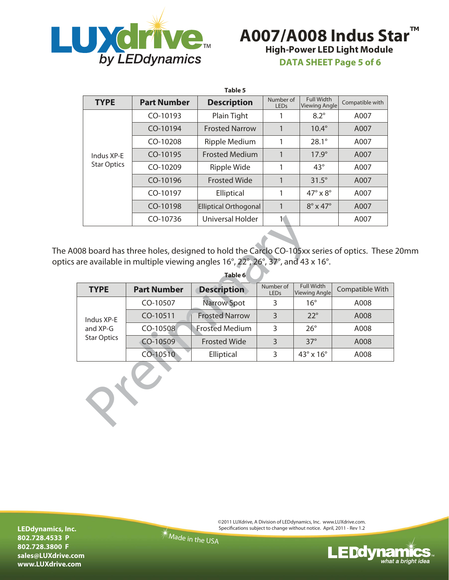



**DATA SHEET Page 5 of 6**

| Table 5                          |                    |                         |                          |                                    |                 |
|----------------------------------|--------------------|-------------------------|--------------------------|------------------------------------|-----------------|
| <b>TYPE</b>                      | <b>Part Number</b> | <b>Description</b>      | Number of<br><b>LEDs</b> | <b>Full Width</b><br>Viewing Angle | Compatible with |
| Indus XP-F<br><b>Star Optics</b> | CO-10193           | Plain Tight             |                          | $8.2^\circ$                        | A007            |
|                                  | $CO-10194$         | <b>Frosted Narrow</b>   | 1                        | $10.4^\circ$                       | A007            |
|                                  | $CO-10208$         | Ripple Medium           |                          | $28.1^{\circ}$                     | A007            |
|                                  | CO-10195           | <b>Frosted Medium</b>   | 1                        | $17.9^\circ$                       | A007            |
|                                  | $CO-10209$         | Ripple Wide             |                          | $43^\circ$                         | A007            |
|                                  | CO-10196           | <b>Frosted Wide</b>     |                          | $31.5^\circ$                       | A007            |
|                                  | $CO-10197$         | Elliptical              |                          | $47^\circ \times 8^\circ$          | A007            |
|                                  | CO-10198           | Elliptical Orthogonal   |                          | $8^\circ \times 47^\circ$          | A007            |
|                                  | CO-10736           | <b>Universal Holder</b> |                          |                                    | A007            |

The A008 board has three holes, designed to hold the Carclo CO-105xx series of optics. These 20mm optics are available in multiple viewing angles 16°, 22°, 26°, 37°, and 43 x 16°.

|                                                                                                                                                                                                                        | CO-10736           | Universal Holder      |                   |                                           | A007            |  |
|------------------------------------------------------------------------------------------------------------------------------------------------------------------------------------------------------------------------|--------------------|-----------------------|-------------------|-------------------------------------------|-----------------|--|
| 08 board has three holes, designed to hold the Carclo CO-105xx series of optics. These<br>are available in multiple viewing angles $16^{\circ}$ , $22^{\circ}$ , $26^{\circ}$ , $37^{\circ}$ , and 43 x $16^{\circ}$ . |                    |                       |                   |                                           |                 |  |
|                                                                                                                                                                                                                        |                    | Table 6               |                   |                                           |                 |  |
| <b>TYPE</b>                                                                                                                                                                                                            | <b>Part Number</b> | <b>Description</b>    | Number of<br>LEDs | <b>Full Width</b><br><b>Viewing Angle</b> | Compatible With |  |
|                                                                                                                                                                                                                        | CO-10507           | <b>Narrow Spot</b>    | 3                 | $16^{\circ}$                              | A008            |  |
| Indus XP-E<br>and XP-G<br><b>Star Optics</b>                                                                                                                                                                           | CO-10511           | <b>Frosted Narrow</b> | 3                 | $22^{\circ}$                              | A008            |  |
|                                                                                                                                                                                                                        | CO-10508           | <b>Frosted Medium</b> | 3                 | $26^{\circ}$                              | A008            |  |
|                                                                                                                                                                                                                        | CO-10509           | <b>Frosted Wide</b>   | 3                 | $37^\circ$                                | A008            |  |
|                                                                                                                                                                                                                        | CO-10510           | Elliptical            | 3                 | $43^\circ \times 16^\circ$                | A008            |  |
|                                                                                                                                                                                                                        |                    |                       |                   |                                           |                 |  |

**LEDdynamics, Inc. 802.728.4533 P 802.728.3800 F sales@LUXdrive.com www.LUXdrive.com**

©2011 LUXdrive, A Division of LEDdynamics, Inc. www.LUXdrive.com. Specifications subject to change without notice. April, 2011 - Rev 1.2